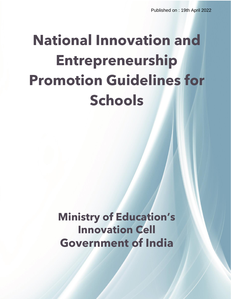# **National Innovation and Entrepreneurship Promotion Guidelines for Schools**

**Ministry of Education's Innovation Cell Government of India**

 $M_{\rm eff}$  , Innovation Cell (C)  $M_{\rm eff}$  Copyright All Rights Reserved All  $\chi$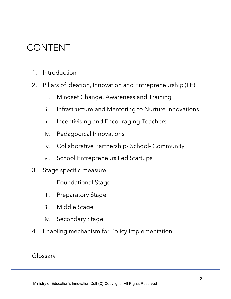### CONTENT

- 1. Introduction
- 2. Pillars of Ideation, Innovation and Entrepreneurship (IIE)
	- i. Mindset Change, Awareness and Training
	- ii. Infrastructure and Mentoring to Nurture Innovations
	- iii. Incentivising and Encouraging Teachers
	- iv. Pedagogical Innovations
	- v. Collaborative Partnership- School- Community
	- vi. School Entrepreneurs Led Startups
- 3. Stage specific measure
	- i. Foundational Stage
	- ii. Preparatory Stage
	- iii. Middle Stage
	- iv. Secondary Stage
- 4. Enabling mechanism for Policy Implementation

Glossary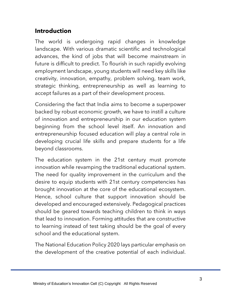#### **Introduction**

The world is undergoing rapid changes in knowledge landscape. With various dramatic scientific and technological advances, the kind of jobs that will become mainstream in future is difficult to predict. To flourish in such rapidly evolving employment landscape, young students will need key skills like creativity, innovation, empathy, problem solving, team work, strategic thinking, entrepreneurship as well as learning to accept failures as a part of their development process.

Considering the fact that India aims to become a superpower backed by robust economic growth, we have to instill a culture of innovation and entrepreneurship in our education system beginning from the school level itself. An innovation and entrepreneurship focused education will play a central role in developing crucial life skills and prepare students for a life beyond classrooms.

The education system in the 21st century must promote innovation while revamping the traditional educational system. The need for quality improvement in the curriculum and the desire to equip students with 21st century competencies has brought innovation at the core of the educational ecosystem. Hence, school culture that support innovation should be developed and encouraged extensively. Pedagogical practices should be geared towards teaching children to think in ways that lead to innovation. Forming attitudes that are constructive to learning instead of test taking should be the goal of every school and the educational system.

The National Education Policy 2020 lays particular emphasis on the development of the creative potential of each individual.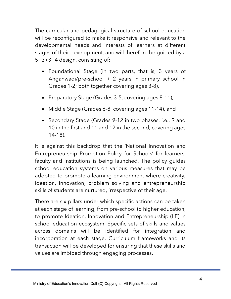The curricular and pedagogical structure of school education will be reconfigured to make it responsive and relevant to the developmental needs and interests of learners at different stages of their development, and will therefore be guided by a 5+3+3+4 design, consisting of:

- Foundational Stage (in two parts, that is, 3 years of Anganwadi/pre-school + 2 years in primary school in Grades 1-2; both together covering ages 3-8),
- Preparatory Stage (Grades 3-5, covering ages 8-11),
- Middle Stage (Grades 6-8, covering ages 11-14), and
- Secondary Stage (Grades 9-12 in two phases, i.e., 9 and 10 in the first and 11 and 12 in the second, covering ages 14-18).

It is against this backdrop that the 'National Innovation and Entrepreneurship Promotion Policy for Schools' for learners, faculty and institutions is being launched. The policy guides school education systems on various measures that may be adopted to promote a learning environment where creativity, ideation, innovation, problem solving and entrepreneurship skills of students are nurtured, irrespective of their age.

There are six pillars under which specific actions can be taken at each stage of learning, from pre-school to higher education, to promote Ideation, Innovation and Entrepreneurship (IIE) in school education ecosystem. Specific sets of skills and values across domains will be identified for integration and incorporation at each stage. Curriculum frameworks and its transaction will be developed for ensuring that these skills and values are imbibed through engaging processes.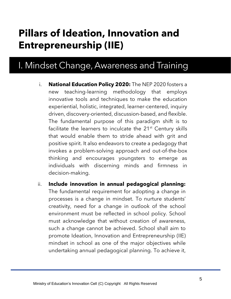## **Pillars of Ideation, Innovation and Entrepreneurship (IIE)**

### I. Mindset Change, Awareness and Training

- i. **National Education Policy 2020:** The NEP 2020 fosters a new teaching-learning methodology that employs innovative tools and techniques to make the education experiential, holistic, integrated, learner-centered, inquiry driven, discovery-oriented, discussion-based, and flexible. The fundamental purpose of this paradigm shift is to facilitate the learners to inculcate the  $21<sup>st</sup>$  Century skills that would enable them to stride ahead with grit and positive spirit. It also endeavors to create a pedagogy that invokes a problem-solving approach and out-of-the-box thinking and encourages youngsters to emerge as individuals with discerning minds and firmness in decision-making.
- ii. **Include innovation in annual pedagogical planning:** The fundamental requirement for adopting a change in processes is a change in mindset. To nurture students' creativity, need for a change in outlook of the school environment must be reflected in school policy. School must acknowledge that without creation of awareness, such a change cannot be achieved. School shall aim to promote Ideation, Innovation and Entrepreneurship (IIE) mindset in school as one of the major objectives while undertaking annual pedagogical planning. To achieve it,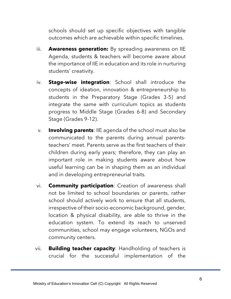schools should set up specific objectives with tangible outcomes which are achievable within specific timelines.

- iii. **Awareness generation:** By spreading awareness on IIE Agenda, students & teachers will become aware about the importance of IIE in education and its role in nurturing students' creativity.
- iv. **Stage-wise integration**: School shall introduce the concepts of ideation, innovation & entrepreneurship to students in the Preparatory Stage (Grades 3-5) and integrate the same with curriculum topics as students progress to Middle Stage (Grades 6-8) and Secondary Stage (Grades 9-12).
- v. **Involving parents**: IIE agenda of the school must also be communicated to the parents during annual parentsteachers' meet. Parents serve as the first teachers of their children during early years; therefore, they can play an important role in making students aware about how useful learning can be in shaping them as an individual and in developing entrepreneurial traits.
- vi. **Community participation**: Creation of awareness shall not be limited to school boundaries or parents, rather school should actively work to ensure that all students, irrespective of their socio-economic background, gender, location & physical disability, are able to thrive in the education system. To extend its reach to unserved communities, school may engage volunteers, NGOs and community centers.
- vii. **Building teacher capacity**: Handholding of teachers is crucial for the successful implementation of the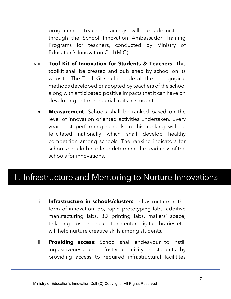programme. Teacher trainings will be administered through the School Innovation Ambassador Training Programs for teachers, conducted by Ministry of Education's Innovation Cell (MIC).

- viii. **Tool Kit of Innovation for Students & Teachers**: This toolkit shall be created and published by school on its website. The Tool Kit shall include all the pedagogical methods developed or adopted by teachers of the school along with anticipated positive impacts that it can have on developing entrepreneurial traits in student.
	- ix. **Measurement**: Schools shall be ranked based on the level of innovation oriented activities undertaken. Every year best performing schools in this ranking will be felicitated nationally which shall develop healthy competition among schools. The ranking indicators for schools should be able to determine the readiness of the schools for innovations.

### II. Infrastructure and Mentoring to Nurture Innovations

- i. **Infrastructure in schools/clusters**: Infrastructure in the form of innovation lab, rapid prototyping labs, additive manufacturing labs, 3D printing labs, makers' space, tinkering labs, pre-incubation center, digital libraries etc. will help nurture creative skills among students.
- ii. **Providing access**: School shall endeavour to instill inquisitiveness and foster creativity in students by providing access to required infrastructural facilitites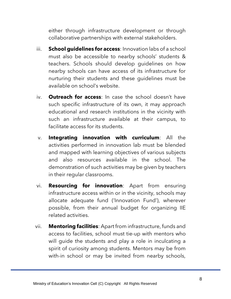either through infrastructure development or through collaborative partnerships with external stakeholders.

- iii. **School guidelines for access**: Innovation labs of a school must also be accessible to nearby schools' students & teachers. Schools should develop guidelines on how nearby schools can have access of its infrastructure for nurturing their students and these guidelines must be available on school's website.
- iv. **Outreach for access**: In case the school doesn't have such specific infrastructure of its own, it may approach educational and research institutions in the vicinity with such an infrastructure available at their campus, to facilitate access for its students.
- v. **Integrating innovation with curriculum**: All the activities performed in innovation lab must be blended and mapped with learning objectives of various subjects and also resources available in the school. The demonstration of such activities may be given by teachers in their regular classrooms.
- vi. **Resourcing for innovation**: Apart from ensuring infrastructure access within or in the vicinity, schools may allocate adequate fund ('Innovation Fund'), wherever possible, from their annual budget for organizing IIE related activities.
- vii. **Mentoring facilities**: Apart from infrastructure, funds and access to facilities, school must tie-up with mentors who will guide the students and play a role in inculcating a spirit of curiosity among students. Mentors may be from with-in school or may be invited from nearby schools,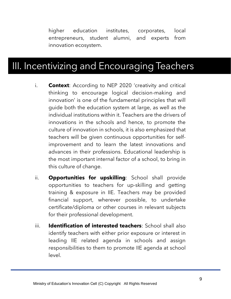higher education institutes, corporates, local entrepreneurs, student alumni, and experts from innovation ecosystem.

### III. Incentivizing and Encouraging Teachers

- i. **Context**: According to NEP 2020 'creativity and critical thinking to encourage logical decision-making and innovation' is one of the fundamental principles that will guide both the education system at large, as well as the individual institutions within it. Teachers are the drivers of innovations in the schools and hence, to promote the culture of innovation in schools, it is also emphasized that teachers will be given continuous opportunities for selfimprovement and to learn the latest innovations and advances in their professions. Educational leadership is the most important internal factor of a school, to bring in this culture of change.
- ii. **Opportunities for upskilling**: School shall provide opportunities to teachers for up-skilling and getting training & exposure in IIE. Teachers may be provided financial support, wherever possible, to undertake certificate/diploma or other courses in relevant subjects for their professional development.
- iii. **Identification of interested teachers**: School shall also identify teachers with either prior exposure or interest in leading IIE related agenda in schools and assign responsibilities to them to promote IIE agenda at school level.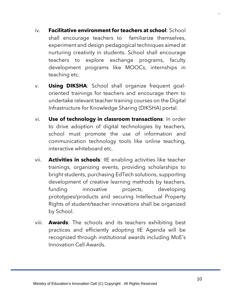- iv. **Facilitative environment for teachers at school**: School shall encourage teachers to familiarize themselves, experiment and design pedagogical techniques aimed at nurturing creativity in students. School shall encourage teachers to explore exchange programs, faculty development programs like MOOCs, internships in teaching etc.
- v. **Using DIKSHA**: School shall organize frequent goaloriented trainings for teachers and encourage them to undertake relevant teacher training courses on the Digital Infrastructure for Knowledge Sharing (DIKSHA) portal.
- vi. **Use of technology in classroom transactions**: In order to drive adoption of digital technologies by teachers, school must promote the use of information and communication technology tools like online teaching, interactive whiteboard etc.
- vii. **Activities in schools**: IIE enabling activities like teacher trainings, organizing events, providing scholarships to bright students, purchasing EdTech solutions, supporting development of creative learning methods by teachers, funding innovative projects, developing prototypes/products and securing Intellectual Property Rights of student/teacher innovations shall be organized by School.
- viii. **Awards**: The schools and its teachers exhibiting best practices and efficiently adopting IIE Agenda will be recognized through institutional awards including MoE's Innovation Cell Awards.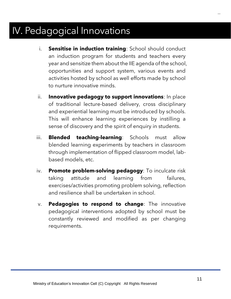### IV. Pedagogical Innovations

- i. **Sensitise in induction training**: School should conduct an induction program for students and teachers every year and sensitize them about the IIE agenda of the school, opportunities and support system, various events and activities hosted by school as well efforts made by school to nurture innovative minds.
- ii. **Innovative pedagogy to support innovations**: In place of traditional lecture-based delivery, cross disciplinary and experiential learning must be introduced by schools. This will enhance learning experiences by instilling a sense of discovery and the spirit of enquiry in students.
- iii. **Blended teaching-learning**: Schools must allow blended learning experiments by teachers in classroom through implementation of flipped classroom model, labbased models, etc.
- iv. **Promote problem-solving pedagogy**: To inculcate risk taking attitude and learning from failures, exercises/activities promoting problem solving, reflection and resilience shall be undertaken in school.
- v. **Pedagogies to respond to change**: The innovative pedagogical interventions adopted by school must be constantly reviewed and modified as per changing requirements.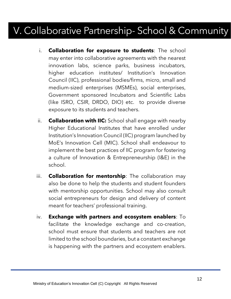### V. Collaborative Partnership- School & Community

- i. **Collaboration for exposure to students**: The school may enter into collaborative agreements with the nearest innovation labs, science parks, business incubators, higher education institutes/ Institution's Innovation Council (IIC), professional bodies/firms, micro, small and medium-sized enterprises (MSMEs), social enterprises, Government sponsored Incubators and Scientific Labs (like ISRO, CSIR, DRDO, DIO) etc. to provide diverse exposure to its students and teachers.
- ii. **Collaboration with IIC:** School shall engage with nearby Higher Educational Institutes that have enrolled under Institution's Innovation Council (IIC) program launched by MoE's Innovation Cell (MIC). School shall endeavour to implement the best practices of IIC program for fostering a culture of Innovation & Entrepreneurship (I&E) in the school.
- iii. **Collaboration for mentorship**: The collaboration may also be done to help the students and student founders with mentorship opportunities. School may also consult social entrepreneurs for design and delivery of content meant for teachers' professional training.
- iv. **Exchange with partners and ecosystem enablers**: To facilitate the knowledge exchange and co-creation, school must ensure that students and teachers are not limited to the school boundaries, but a constant exchange is happening with the partners and ecosystem enablers.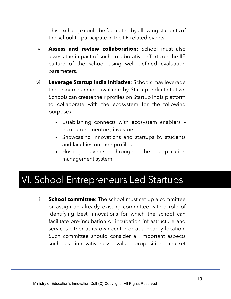This exchange could be facilitated by allowing students of the school to participate in the IIE related events.

- v. **Assess and review collaboration**: School must also assess the impact of such collaborative efforts on the IIE culture of the school using well defined evaluation parameters.
- vi. **Leverage Startup India Initiative**: Schools may leverage the resources made available by Startup India Initiative. Schools can create their profiles on Startup India platform to collaborate with the ecosystem for the following purposes:
	- Establishing connects with ecosystem enablers incubators, mentors, investors
	- Showcasing innovations and startups by students and faculties on their profiles
	- Hosting events through the application management system

### VI. School Entrepreneurs Led Startups

i. **School committee**: The school must set up a committee or assign an already existing committee with a role of identifying best innovations for which the school can facilitate pre-incubation or incubation infrastructure and services either at its own center or at a nearby location. Such committee should consider all important aspects such as innovativeness, value proposition, market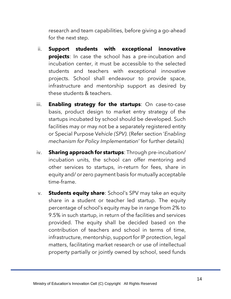research and team capabilities, before giving a go-ahead for the next step.

- ii. **Support students with exceptional innovative projects**: In case the school has a pre-incubation and incubation center, it must be accessible to the selected students and teachers with exceptional innovative projects. School shall endeavour to provide space, infrastructure and mentorship support as desired by these students & teachers.
- iii. **Enabling strategy for the startups**: On case-to-case basis, product design to market entry strategy of the startups incubated by school should be developed. Such facilities may or may not be a separately registered entity or Special Purpose Veh*icle (SPV).* (Refer section '*Enabling mechanism for Policy Implementation*' for further details)
- iv. **Sharing approach for startups**: Through pre-incubation/ incubation units, the school can offer mentoring and other services to startups, in-return for fees, share in equity and/ or zero payment basis for mutually acceptable time-frame.
- v. **Students equity share**: School's SPV may take an equity share in a student or teacher led startup. The equity percentage of school's equity may be in range from 2% to 9.5% in such startup, in return of the facilities and services provided. The equity shall be decided based on the contribution of teachers and school in terms of time, infrastructure, mentorship, support for IP protection, legal matters, facilitating market research or use of intellectual property partially or jointly owned by school, seed funds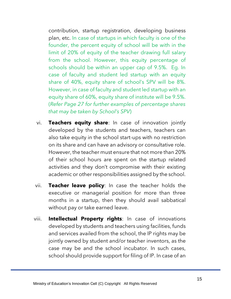contribution, startup registration, developing business plan, etc. In case of startups in which faculty is one of the founder, the percent equity of school will be with in the limit of 20% of equity of the teacher drawing full salary from the school. However, this equity percentage of schools should be within an upper cap of 9.5%. Eg. In case of faculty and student led startup with an equity share of 40%, equity share of school's SPV will be 8%. However, in case of faculty and student led startup with an equity share of 60%, equity share of institute will be 9.5%. (*Refer Page 27 for further examples of percentage shares that may be taken by School's SPV*)

- vi. **Teachers equity share**: In case of innovation jointly developed by the students and teachers, teachers can also take equity in the school start-ups with no restriction on its share and can have an advisory or consultative role. However, the teacher must ensure that not more than 20% of their school hours are spent on the startup related activities and they don't compromise with their existing academic or other responsibilities assigned by the school.
- vii. **Teacher leave policy**: In case the teacher holds the executive or managerial position for more than three months in a startup, then they should avail sabbatical without pay or take earned leave.
- viii. **Intellectual Property rights**: In case of innovations developed by students and teachers using facilities, funds and services availed from the school, the IP rights may be jointly owned by student and/or teacher inventors, as the case may be and the school incubator. In such cases, school should provide support for filing of IP. In case of an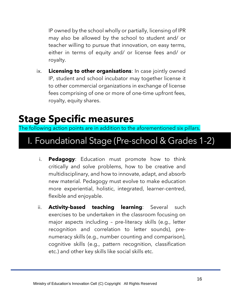IP owned by the school wholly or partially, licensing of IPR may also be allowed by the school to student and/ or teacher willing to pursue that innovation, on easy terms, either in terms of equity and/ or license fees and/ or royalty.

ix. **Licensing to other organisations**: In case jointly owned IP, student and school incubator may together license it to other commercial organizations in exchange of license fees comprising of one or more of one-time upfront fees, royalty, equity shares.

### **Stage Specific measures**

The following action points are in addition to the aforementioned six pillars.

### I. Foundational Stage (Pre-school & Grades 1-2)

- i. **Pedagogy**: Education must promote how to think critically and solve problems, how to be creative and multidisciplinary, and how to innovate, adapt, and absorb new material. Pedagogy must evolve to make education more experiential, holistic, integrated, learner-centred, flexible and enjoyable.
- ii. **Activity-based teaching learning**: Several such exercises to be undertaken in the classroom focusing on major aspects including – pre-literacy skills (e.g., letter recognition and correlation to letter sounds), prenumeracy skills (e.g., number counting and comparison), cognitive skills (e.g., pattern recognition, classification etc.) and other key skills like social skills etc.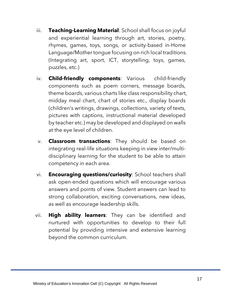- iii. **Teaching-Learning Material**: School shall focus on joyful and experiential learning through art, stories, poetry, rhymes, games, toys, songs, or activity-based in-Home Language/Mother tongue focusing on rich local traditions. (Integrating art, sport, ICT, storytelling, toys, games, puzzles, etc.)
- iv. **Child-friendly components**: Various child-friendly components such as poem corners, message boards, theme boards, various charts like class responsibility chart, midday meal chart, chart of stories etc., display boards (children's writings, drawings, collections, variety of texts, pictures with captions, instructional material developed by teacher etc.) may be developed and displayed on walls at the eye level of children.
- v. **Classroom transactions**: They should be based on integrating real-life situations keeping in view inter/multidisciplinary learning for the student to be able to attain competency in each area.
- vi. **Encouraging questions/curiosity**: School teachers shall ask open-ended questions which will encourage various answers and points of view. Student answers can lead to strong collaboration, exciting conversations, new ideas, as well as encourage leadership skills.
- vii. **High ability learners**: They can be identified and nurtured with opportunities to develop to their full potential by providing intensive and extensive learning beyond the common curriculum.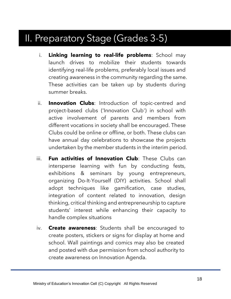### II. Preparatory Stage (Grades 3-5)

- i. **Linking learning to real-life problems**: School may launch drives to mobilize their students towards identifying real-life problems, preferably local issues and creating awareness in the community regarding the same. These activities can be taken up by students during summer breaks.
- ii. **Innovation Clubs**: Introduction of topic-centred and project-based clubs ('Innovation Club') in school with active involvement of parents and members from different vocations in society shall be encouraged. These Clubs could be online or offline, or both. These clubs can have annual day celebrations to showcase the projects undertaken by the member students in the interim period.
- iii. **Fun activities of Innovation Club**: These Clubs can intersperse learning with fun by conducting fests, exhibitions & seminars by young entrepreneurs, organizing Do-It-Yourself (DIY) activities. School shall adopt techniques like gamification, case studies, integration of content related to innovation, design thinking, critical thinking and entrepreneurship to capture students' interest while enhancing their capacity to handle complex situations
- iv. **Create awareness**: Students shall be encouraged to create posters, stickers or signs for display at home and school. Wall paintings and comics may also be created and posted with due permission from school authority to create awareness on Innovation Agenda.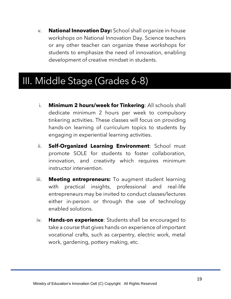v. **National Innovation Day:** School shall organize in-house workshops on National Innovation Day. Science teachers or any other teacher can organize these workshops for students to emphasize the need of innovation, enabling development of creative mindset in students.

### III. Middle Stage (Grades 6-8)

- i. **Minimum 2 hours/week for Tinkering**: All schools shall dedicate minimum 2 hours per week to compulsory tinkering activities. These classes will focus on providing hands-on learning of curriculum topics to students by engaging in experiential learning activities.
- ii. **Self-Organized Learning Environment**: School must promote SOLE for students to foster collaboration, innovation, and creativity which requires minimum instructor intervention.
- iii. **Meeting entrepreneurs:** To augment student learning with practical insights, professional and real-life entrepreneurs may be invited to conduct classes/lectures either in-person or through the use of technology enabled solutions.
- iv. **Hands-on experience**: Students shall be encouraged to take a course that gives hands-on experience of important vocational crafts, such as carpentry, electric work, metal work, gardening, pottery making, etc.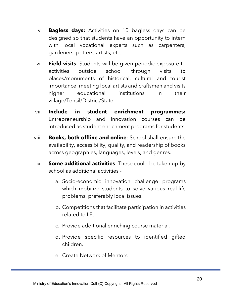- v. **Bagless days:** Activities on 10 bagless days can be designed so that students have an opportunity to intern with local vocational experts such as carpenters, gardeners, potters, artists, etc.
- vi. **Field visits**: Students will be given periodic exposure to activities outside school through visits to places/monuments of historical, cultural and tourist importance, meeting local artists and craftsmen and visits higher educational institutions in their village/Tehsil/District/State.
- vii. **Include in student enrichment programmes:**  Entrepreneurship and innovation courses can be introduced as student enrichment programs for students.
- viii. **Books, both offline and online**: School shall ensure the availability, accessibility, quality, and readership of books across geographies, languages, levels, and genres.
	- ix. **Some additional activities**: These could be taken up by school as additional activities
		- a. Socio-economic innovation challenge programs which mobilize students to solve various real-life problems, preferably local issues.
		- b. Competitions that facilitate participation in activities related to IIE.
		- c. Provide additional enriching course material*.*
		- d. Provide specific resources to identified gifted children.
		- e. Create Network of Mentors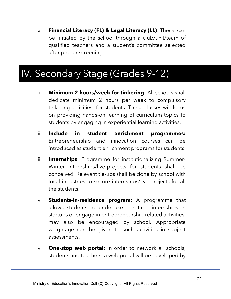x. **Financial Literacy (FL) & Legal Literacy (LL)**: These can be initiated by the school through a club/unit/team of qualified teachers and a student's committee selected after proper screening.

### IV. Secondary Stage (Grades 9-12)

- i. **Minimum 2 hours/week for tinkering**: All schools shall dedicate minimum 2 hours per week to compulsory tinkering activities for students. These classes will focus on providing hands-on learning of curriculum topics to students by engaging in experiential learning activities.
- ii. **Include in student enrichment programmes:**  Entrepreneurship and innovation courses can be introduced as student enrichment programs for students.
- iii. **Internships**: Programme for institutionalizing Summer-Winter internships/live-projects for students shall be conceived. Relevant tie-ups shall be done by school with local industries to secure internships/live-projects for all the students.
- iv. **Students-in-residence program**: A programme that allows students to undertake part-time internships in startups or engage in entrepreneurship related activities, may also be encouraged by school. Appropriate weightage can be given to such activities in subject assessments.
- v. **One-stop web portal**: In order to network all schools, students and teachers, a web portal will be developed by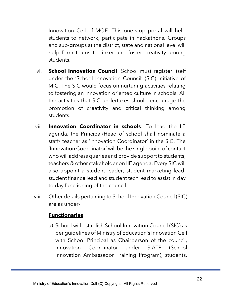Innovation Cell of MOE. This one-stop portal will help students to network, participate in hackathons. Groups and sub-groups at the district, state and national level will help form teams to tinker and foster creativity among students.

- vi. **School Innovation Council**: School must register itself under the 'School Innovation Council' (SIC) initiative of MIC. The SIC would focus on nurturing activities relating to fostering an innovation oriented culture in schools. All the activities that SIC undertakes should encourage the promotion of creativity and critical thinking among students.
- vii. **Innovation Coordinator in schools**: To lead the IIE agenda, the Principal/Head of school shall nominate a staff/ teacher as 'Innovation Coordinator' in the SIC. The 'Innovation Coordinator' will be the single point of contact who will address queries and provide support to students, teachers & other stakeholder on IIE agenda. Every SIC will also appoint a student leader, student marketing lead, student finance lead and student tech lead to assist in day to day functioning of the council.
- viii. Other details pertaining to School Innovation Council (SIC) are as under-

#### **Functionaries**

a) School will establish School Innovation Council (SIC) as per guidelines of Ministry of Education's Innovation Cell with School Principal as Chairperson of the council, Innovation Coordinator under SIATP (School Innovation Ambassador Training Program), students,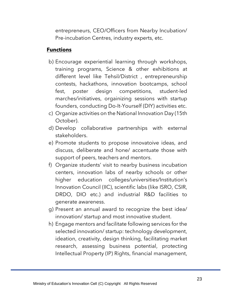entrepreneurs, CEO/Officers from Nearby Incubation/ Pre-incubation Centres, industry experts, etc.

#### **Functions**

- b) Encourage experiential learning through workshops, training programs, Science & other exhibitions at different level like Tehsil/District , entrepreneurship contests, hackathons, innovation bootcamps, school fest, poster design competitions, student-led marches/initiatives, orgainizing sessions with startup founders, conducting Do-It-Yourself (DIY) activities etc.
- c) Organize activities on the National Innovation Day (15th October).
- d) Develop collaborative partnerships with external stakeholders.
- e) Promote students to propose innovatoive ideas, and discuss, deliberate and hone/ accentuate those with support of peers, teachers and mentors.
- f) Organize students' visit to nearby business incubation centers, innovation labs of nearby schools or other higher education colleges/universities/Institution's Innovation Council (IIC), scientific labs (like ISRO, CSIR, DRDO, DIO etc.) and industrial R&D facilities to generate awareness.
- g) Present an annual award to recognize the best idea/ innovation/ startup and most innovative student.
- h) Engage mentors and facilitate following services for the selected innovation/ startup: technology development, ideation, creativity, design thinking, facilitating market research, assessing business potential, protecting Intellectual Property (IP) Rights, financial management,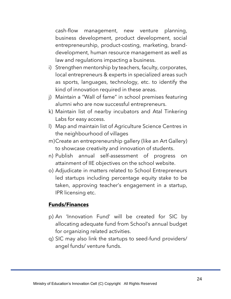cash-flow management, new venture planning, business development, product development, social entrepreneurship, product-costing, marketing, branddevelopment, human resource management as well as law and regulations impacting a business.

- i) Strengthen mentorship by teachers, faculty, corporates, local entrepreneurs & experts in specialized areas such as sports, languages, technology, etc. to identify the kind of innovation required in these areas.
- j) Maintain a "Wall of fame" in school premises featuring alumni who are now successful entrepreneurs.
- k) Maintain list of nearby incubators and Atal Tinkering Labs for easy access.
- l) Map and maintain list of Agriculture Science Centres in the neighbourhood of villages
- m)Create an entrepreneurship gallery (like an Art Gallery) to showcase creativity and innovation of students.
- n) Publish annual self-assessment of progress on attainment of IIE objectives on the school website.
- o) Adjudicate in matters related to School Entrepreneurs led startups including percentage equity stake to be taken, approving teacher's engagement in a startup, IPR licensing etc.

#### **Funds/Finances**

- p) An 'Innovation Fund' will be created for SIC by allocating adequate fund from School's annual budget for organizing related activities.
- q) SIC may also link the startups to seed-fund providers/ angel funds/ venture funds.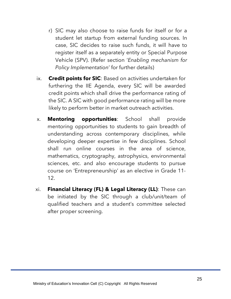- r) SIC may also choose to raise funds for itself or for a student let startup from external funding sources. In case, SIC decides to raise such funds, it will have to register itself as a separately entity or Special Purpose Vehicle (SPV). (Refer section '*Enabling mechanism for Policy Implementation*' for further details)
- ix. **Credit points for SIC**: Based on activities undertaken for furthering the IIE Agenda, every SIC will be awarded credit points which shall drive the performance rating of the SIC. A SIC with good performance rating will be more likely to perform better in market outreach activities.
- x. **Mentoring opportunities**: School shall provide mentoring opportunities to students to gain breadth of understanding across contemporary disciplines, while developing deeper expertise in few disciplines. School shall run online courses in the area of science, mathematics, cryptography, astrophysics, environmental sciences, etc. and also encourage students to pursue course on 'Entrepreneurship' as an elective in Grade 11- 12.
- xi. **Financial Literacy (FL) & Legal Literacy (LL)**: These can be initiated by the SIC through a club/unit/team of qualified teachers and a student's committee selected after proper screening.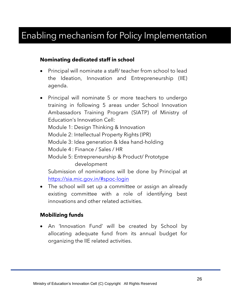### Enabling mechanism for Policy Implementation

#### **Nominating dedicated staff in school**

- Principal will nominate a staff/ teacher from school to lead the Ideation, Innovation and Entrepreneurship (IIE) agenda.
- Principal will nominate 5 or more teachers to undergo training in following 5 areas under School Innovation Ambassadors Training Program (SIATP) of Ministry of Education's Innovation Cell: Module 1: Design Thinking & Innovation Module 2: Intellectual Property Rights (IPR) Module 3: Idea generation & Idea hand-holding Module 4 : Finance / Sales / HR Module 5: Entrepreneurship & Product/ Prototype development Submission of nominations will be done by Principal at

https://sia.mic.gov.in/#spoc-login

• The school will set up a committee or assign an already existing committee with a role of identifying best innovations and other related activities.

#### **Mobilizing funds**

• An 'Innovation Fund' will be created by School by allocating adequate fund from its annual budget for organizing the IIE related activities.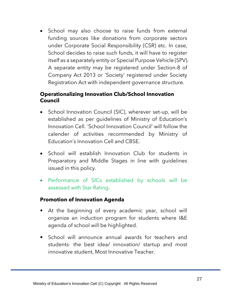• School may also choose to raise funds from external funding sources like donations from corporate sectors under Corporate Social Responsibility (CSR) etc. In case, School decides to raise such funds, it will have to register itself as a separately entity or Special Purpose Vehicle (SPV). A separate entity may be registered under Section-8 of Company Act 2013 or 'Society' registered under Society Registration Act with independent governance structure.

#### **Operationalizing Innovation Club/School Innovation Council**

- School Innovation Council (SIC), wherever set-up, will be established as per guidelines of Ministry of Education's Innovation Cell. 'School Innovation Council' will follow the calender of activities recommended by Ministry of Education's Innovation Cell and CBSE.
- School will establish Innovation Club for students in Preparatory and Middle Stages in line with guidelines issued in this policy.
- Performance of SICs established by schools will be assessed with Star Rating.

#### **Promotion of Innovation Agenda**

- At the beginning of every academic year, school will organize an induction program for students where I&E agenda of school will be highlighted.
- School will announce annual awards for teachers and students- the best idea/ innovation/ startup and most innovative student, Most Innovative Teacher.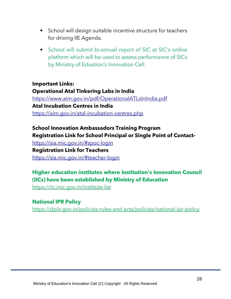- School will design suitable incentive structure for teachers for driving IIE Agenda.
- School will submit bi-annual report of SIC at SIC's online platform which will be used to assess performance of SICs by Ministry of Eduation's Innovation Cell.

#### **Important Links: Operational Atal Tinkering Labs in India**

<https://www.aim.gov.in/pdf/OperationalATLsInIndia.pdf> **Atal Incubation Centres in India** <https://aim.gov.in/atal-incubation-centres.php>

#### **School Innovation Ambassadors Training Program Registration Link for School Principal or Single Point of Contact-**

<https://sia.mic.gov.in/#spoc-login> **Registration Link for Teachers** <https://sia.mic.gov.in/#teacher-login>

#### **Higher education institutes where Institution's Innovation Council (IICs) have been established by Ministry of Education**

<https://iic.mic.gov.in/institute-list>

#### **National IPR Policy**

<https://dpiit.gov.in/policies-rules-and-acts/policies/national-ipr-policy>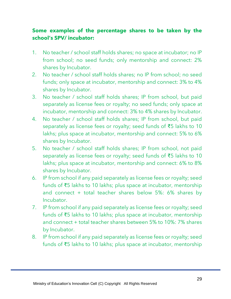#### **Some examples of the percentage shares to be taken by the school's SPV/ incubator:**

- 1. No teacher / school staff holds shares; no space at incubator; no IP from school; no seed funds; only mentorship and connect: 2% shares by Incubator.
- 2. No teacher / school staff holds shares; no IP from school; no seed funds; only space at incubator, mentorship and connect: 3% to 4% shares by Incubator.
- 3. No teacher / school staff holds shares; IP from school, but paid separately as license fees or royalty; no seed funds; only space at incubator, mentorship and connect: 3% to 4% shares by Incubator.
- 4. No teacher / school staff holds shares; IP from school, but paid separately as license fees or royalty; seed funds of ₹5 lakhs to 10 lakhs; plus space at incubator, mentorship and connect: 5% to 6% shares by Incubator.
- 5. No teacher / school staff holds shares; IP from school, not paid separately as license fees or royalty; seed funds of ₹5 lakhs to 10 lakhs; plus space at incubator, mentorship and connect: 6% to 8% shares by Incubator.
- 6. IP from school if any paid separately as license fees or royalty; seed funds of ₹5 lakhs to 10 lakhs; plus space at incubator, mentorship and connect + total teacher shares below 5%: 6% shares by Incubator.
- 7. IP from school if any paid separately as license fees or royalty; seed funds of ₹5 lakhs to 10 lakhs; plus space at incubator, mentorship and connect + total teacher shares between 5% to 10%: 7% shares by Incubator.
- 8. IP from school if any paid separately as license fees or royalty; seed funds of ₹5 lakhs to 10 lakhs; plus space at incubator, mentorship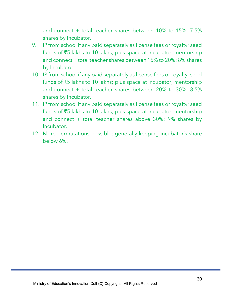and connect + total teacher shares between 10% to 15%: 7.5% shares by Incubator.

- 9. IP from school if any paid separately as license fees or royalty; seed funds of ₹5 lakhs to 10 lakhs; plus space at incubator, mentorship and connect + total teacher shares between 15% to 20%: 8% shares by Incubator.
- 10. IP from school if any paid separately as license fees or royalty; seed funds of ₹5 lakhs to 10 lakhs; plus space at incubator, mentorship and connect + total teacher shares between 20% to 30%: 8.5% shares by Incubator.
- 11. IP from school if any paid separately as license fees or royalty; seed funds of ₹5 lakhs to 10 lakhs; plus space at incubator, mentorship and connect + total teacher shares above 30%: 9% shares by Incubator.
- 12. More permutations possible; generally keeping incubator's share below 6%.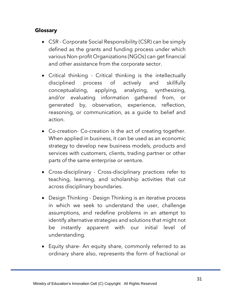#### **Glossary**

- CSR Corporate Social Responsibility (CSR) can be simply defined as the grants and funding process under which various Non-profit Organizations (NGOs) can get financial and other assistance from the corporate sector.
- Critical thinking Critical thinking is the intellectually disciplined process of actively and skillfully conceptualizing, applying, analyzing, synthesizing, and/or evaluating information gathered from, or generated by, observation, experience, reflection, reasoning, or communication, as a guide to belief and action.
- Co-creation- Co-creation is the act of creating together. When applied in business, it can be used as an economic strategy to develop new business models, products and services with customers, clients, trading partner or other parts of the same enterprise or venture.
- Cross-disciplinary Cross-disciplinary practices refer to teaching, learning, and scholarship activities that cut across disciplinary boundaries.
- Design Thinking Design Thinking is an iterative process in which we seek to understand the user, challenge assumptions, and redefine problems in an attempt to identify alternative strategies and solutions that might not be instantly apparent with our initial level of understanding.
- Equity share- An equity share, commonly referred to as ordinary share also, represents the form of fractional or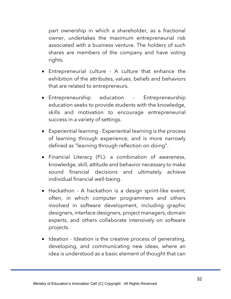part ownership in which a shareholder, as a fractional owner, undertakes the maximum entrepreneurial risk associated with a business venture. The holders of such shares are members of the company and have voting rights.

- Entrepreneurial culture A culture that enhance the exhibition of the attributes, values, beliefs and behaviors that are related to entrepreneurs.
- Entrepreneurship education Entrepreneurship education seeks to provide students with the knowledge, skills and motivation to encourage entrepreneurial success in a variety of settings.
- Experiential learning Experiential learning is the process of learning through experience, and is more narrowly defined as "learning through reflection on doing".
- Financial Literacy (FL)- a combination of awareness, knowledge, skill, attitude and behavior necessary to make sound financial decisions and ultimately achieve individual financial well-being.
- Hackathon A hackathon is a design sprint-like event; often, in which computer programmers and others involved in software development, including graphic designers, interface designers, project managers, domain experts, and others collaborate intensively on software projects.
- Ideation Ideation is the creative process of generating, developing, and communicating new ideas, where an idea is understood as a basic element of thought that can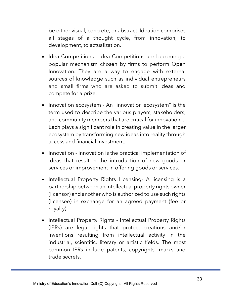be either visual, concrete, or abstract. Ideation comprises all stages of a thought cycle, from innovation, to development, to actualization.

- Idea Competitions Idea Competitions are becoming a popular mechanism chosen by firms to perform Open Innovation. They are a way to engage with external sources of knowledge such as individual entrepreneurs and small firms who are asked to submit ideas and compete for a prize.
- Innovation ecosystem An "innovation ecosystem" is the term used to describe the various players, stakeholders, and community members that are critical for innovation. ... Each plays a significant role in creating value in the larger ecosystem by transforming new ideas into reality through access and financial investment.
- Innovation Innovation is the practical implementation of ideas that result in the introduction of new goods or services or improvement in offering goods or services.
- Intellectual Property Rights Licensing- A licensing is a partnership between an intellectual property rights owner (licensor) and another who is authorized to use such rights (licensee) in exchange for an agreed payment (fee or royalty).
- Intellectual Property Rights Intellectual Property Rights (IPRs) are legal rights that protect creations and/or inventions resulting from intellectual activity in the industrial, scientific, literary or artistic fields. The most common IPRs include patents, copyrights, marks and trade secrets.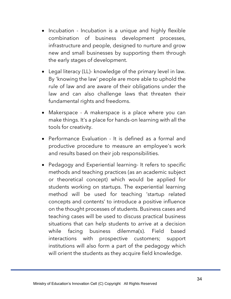- Incubation Incubation is a unique and highly flexible combination of business development processes, infrastructure and people, designed to nurture and grow new and small businesses by supporting them through the early stages of development.
- Legal literacy (LL)- knowledge of the primary level in law. By 'knowing the law' people are more able to uphold the rule of law and are aware of their obligations under the law and can also challenge laws that threaten their fundamental rights and freedoms.
- Makerspace A makerspace is a place where you can make things. It's a place for hands-on learning with all the tools for creativity.
- Performance Evaluation It is defined as a formal and productive procedure to measure an employee's work and results based on their job responsibilities.
- Pedagogy and Experiential learning- It refers to specific methods and teaching practices (as an academic subject or theoretical concept) which would be applied for students working on startups. The experiential learning method will be used for teaching 'startup related concepts and contents' to introduce a positive influence on the thought processes of students. Business cases and teaching cases will be used to discuss practical business situations that can help students to arrive at a decision while facing business dilemma(s). Field based interactions with prospective customers; support institutions will also form a part of the pedagogy which will orient the students as they acquire field knowledge.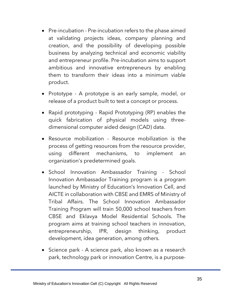- Pre-incubation Pre-incubation refers to the phase aimed at validating projects ideas, company planning and creation, and the possibility of developing possible business by analyzing technical and economic viability and entrepreneur profile. Pre-incubation aims to support ambitious and innovative entrepreneurs by enabling them to transform their ideas into a minimum viable product.
- Prototype A prototype is an early sample, model, or release of a product built to test a concept or process.
- Rapid prototyping Rapid Prototyping (RP) enables the quick fabrication of physical models using threedimensional computer aided design (CAD) data.
- Resource mobilization Resource mobilization is the process of getting resources from the resource provider, using different mechanisms, to implement an organization's predetermined goals.
- School Innovation Ambassador Training School Innovation Ambassador Training program is a program launched by Ministry of Education's Innovation Cell, and AICTE in collaboration with CBSE and EMRS of Ministry of Tribal Affairs. The School Innovation Ambassador Training Program will train 50,000 school teachers from CBSE and Eklavya Model Residential Schools. The program aims at training school teachers in innovation, entrepreneurship, IPR, design thinking, product development, idea generation, among others.
- Science park A science park, also known as a research park, technology park or innovation Centre, is a purpose-